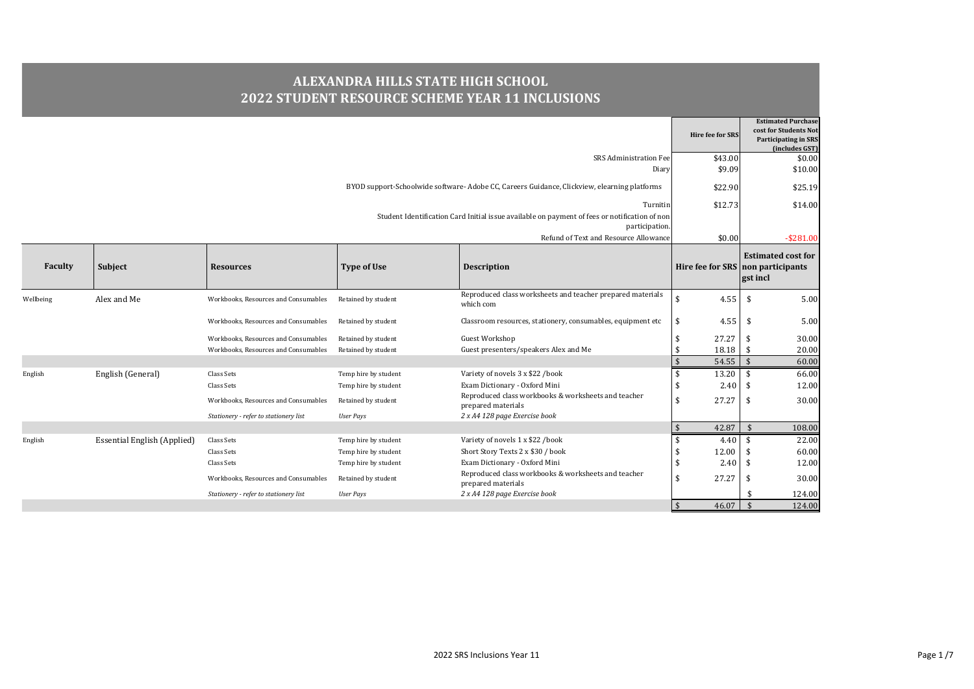## **ALEXANDRA HILLS STATE HIGH SCHOOL 2022 STUDENT RESOURCE SCHEME YEAR 11 INCLUSIONS**

|                |                                    |                                       |                      |                                                                                                                 | Hire fee for SRS            | <b>Estimated Purchase</b><br>cost for Students Not<br><b>Participating in SRS</b><br>(includes GST) |
|----------------|------------------------------------|---------------------------------------|----------------------|-----------------------------------------------------------------------------------------------------------------|-----------------------------|-----------------------------------------------------------------------------------------------------|
|                |                                    |                                       |                      | SRS Administration Fee                                                                                          | \$43.00                     | \$0.00                                                                                              |
|                |                                    |                                       |                      | Diary                                                                                                           | \$9.09                      | \$10.00                                                                                             |
|                |                                    |                                       |                      | BYOD support-Schoolwide software-Adobe CC, Careers Guidance, Clickview, elearning platforms                     | \$22.90                     | \$25.19                                                                                             |
|                |                                    |                                       |                      | Turnitin                                                                                                        | \$12.73                     | \$14.00                                                                                             |
|                |                                    |                                       |                      | Student Identification Card Initial issue available on payment of fees or notification of non<br>participation. |                             |                                                                                                     |
|                |                                    |                                       |                      | Refund of Text and Resource Allowance                                                                           | \$0.00                      | $-$ \$281.00                                                                                        |
| <b>Faculty</b> | Subject                            | <b>Resources</b>                      | <b>Type of Use</b>   | <b>Description</b>                                                                                              |                             | <b>Estimated cost for</b><br>Hire fee for SRS non participants<br>gst incl                          |
| Wellbeing      | Alex and Me                        | Workbooks, Resources and Consumables  | Retained by student  | Reproduced class worksheets and teacher prepared materials<br>which com                                         | \$<br>4.55                  | 5.00<br><sup>\$</sup>                                                                               |
|                |                                    | Workbooks, Resources and Consumables  | Retained by student  | Classroom resources, stationery, consumables, equipment etc                                                     | 4.55<br>\$                  | \$<br>5.00                                                                                          |
|                |                                    | Workbooks, Resources and Consumables  | Retained by student  | Guest Workshop                                                                                                  | 27.27                       | 30.00                                                                                               |
|                |                                    | Workbooks, Resources and Consumables  | Retained by student  | Guest presenters/speakers Alex and Me                                                                           | 18.18                       | 20.00<br>- \$                                                                                       |
|                |                                    |                                       |                      |                                                                                                                 | 54.55<br>$\mathbf{\hat{S}}$ | $\mathbf{\hat{s}}$<br>60.00                                                                         |
| English        | English (General)                  | Class Sets                            | Temp hire by student | Variety of novels 3 x \$22 /book                                                                                | 13.20<br>\$                 | \$<br>66.00                                                                                         |
|                |                                    | Class Sets                            | Temp hire by student | Exam Dictionary - Oxford Mini                                                                                   | 2.40                        | 12.00                                                                                               |
|                |                                    | Workbooks, Resources and Consumables  | Retained by student  | Reproduced class workbooks & worksheets and teacher<br>prepared materials                                       | \$<br>27.27                 | 30.00<br>-\$                                                                                        |
|                |                                    | Stationery - refer to stationery list | <b>User Pays</b>     | 2 x A4 128 page Exercise book                                                                                   |                             |                                                                                                     |
|                |                                    |                                       |                      |                                                                                                                 | 42.87<br>$\mathbf{\hat{S}}$ | $\mathbf{\hat{s}}$<br>108.00                                                                        |
| English        | <b>Essential English (Applied)</b> | Class Sets                            | Temp hire by student | Variety of novels 1 x \$22 /book                                                                                | 4.40<br>\$                  | 22.00                                                                                               |
|                |                                    | Class Sets                            | Temp hire by student | Short Story Texts 2 x \$30 / book                                                                               | 12.00                       | 60.00                                                                                               |
|                |                                    | Class Sets                            | Temp hire by student | Exam Dictionary - Oxford Mini                                                                                   | 2.40<br>\$                  | 12.00<br>\$                                                                                         |
|                |                                    | Workbooks, Resources and Consumables  | Retained by student  | Reproduced class workbooks & worksheets and teacher<br>prepared materials                                       | 27.27<br>\$                 | 30.00<br>-\$                                                                                        |
|                |                                    | Stationery - refer to stationery list | <b>User Pays</b>     | 2 x A4 128 page Exercise book                                                                                   |                             | 124.00                                                                                              |
|                |                                    |                                       |                      |                                                                                                                 | 46.07<br>$\mathbf{\hat{s}}$ | $\mathbf{\hat{s}}$<br>124.00                                                                        |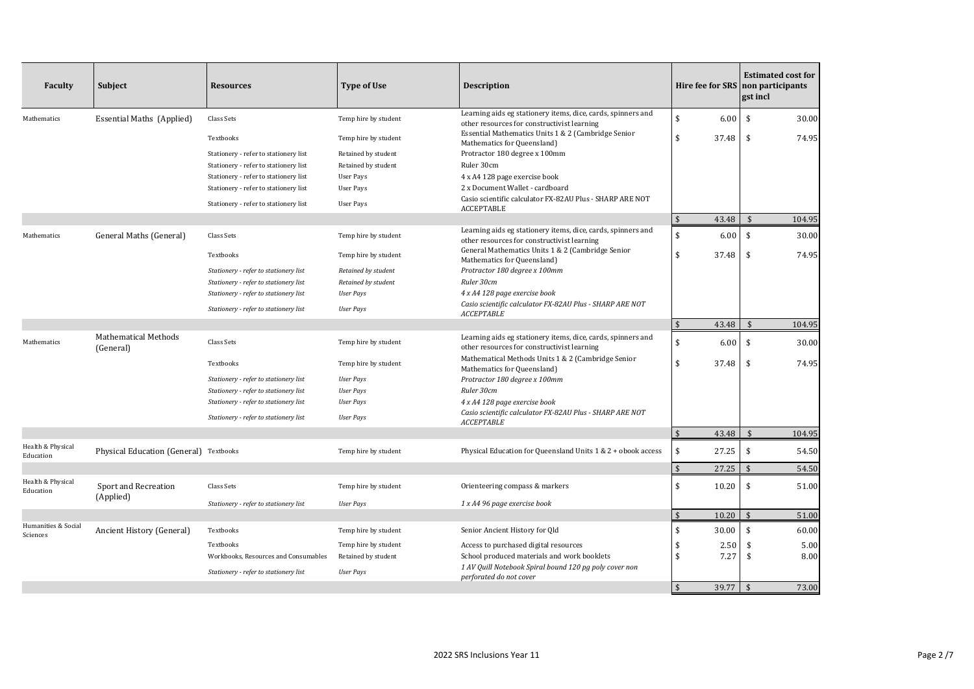| Faculty                         | <b>Subject</b>                           | <b>Resources</b>                      | <b>Type of Use</b>   | <b>Description</b>                                                                                          |                             | <b>Estimated cost for</b><br>Hire fee for SRS non participants<br>gst incl |
|---------------------------------|------------------------------------------|---------------------------------------|----------------------|-------------------------------------------------------------------------------------------------------------|-----------------------------|----------------------------------------------------------------------------|
| Mathematics                     | Essential Maths (Applied)                | Class Sets                            | Temp hire by student | Learning aids eg stationery items, dice, cards, spinners and<br>other resources for constructivist learning | \$<br>6.00                  | \$<br>30.00                                                                |
|                                 |                                          | Textbooks                             | Temp hire by student | Essential Mathematics Units 1 & 2 (Cambridge Senior<br>Mathematics for Queensland)                          | \$<br>37.48                 | \$<br>74.95                                                                |
|                                 |                                          | Stationery - refer to stationery list | Retained by student  | Protractor 180 degree x 100mm                                                                               |                             |                                                                            |
|                                 |                                          | Stationery - refer to stationery list | Retained by student  | Ruler 30cm                                                                                                  |                             |                                                                            |
|                                 |                                          | Stationery - refer to stationery list | <b>User Pays</b>     | 4 x A4 128 page exercise book                                                                               |                             |                                                                            |
|                                 |                                          | Stationery - refer to stationery list | <b>User Pays</b>     | 2 x Document Wallet - cardboard                                                                             |                             |                                                                            |
|                                 |                                          | Stationery - refer to stationery list | <b>User Pays</b>     | Casio scientific calculator FX-82AU Plus - SHARP ARE NOT<br>ACCEPTABLE                                      |                             |                                                                            |
|                                 |                                          |                                       |                      |                                                                                                             | $\sqrt{5}$<br>43.48         | $\mathbf{\hat{S}}$<br>104.95                                               |
| Mathematics                     | General Maths (General)                  | Class Sets                            | Temp hire by student | Learning aids eg stationery items, dice, cards, spinners and<br>other resources for constructivist learning | \$<br>6.00                  | \$<br>30.00                                                                |
|                                 |                                          | Textbooks                             | Temp hire by student | General Mathematics Units 1 & 2 (Cambridge Senior<br>Mathematics for Queensland)                            | \$<br>37.48                 | 74.95<br>\$                                                                |
|                                 |                                          | Stationery - refer to stationery list | Retained by student  | Protractor 180 degree x 100mm                                                                               |                             |                                                                            |
|                                 |                                          | Stationery - refer to stationery list | Retained by student  | Ruler 30cm                                                                                                  |                             |                                                                            |
|                                 |                                          | Stationery - refer to stationery list | <b>User Pays</b>     | 4 x A4 128 page exercise book                                                                               |                             |                                                                            |
|                                 |                                          | Stationery - refer to stationery list | <b>User Pays</b>     | Casio scientific calculator FX-82AU Plus - SHARP ARE NOT<br><b>ACCEPTABLE</b>                               |                             |                                                                            |
|                                 |                                          |                                       |                      |                                                                                                             | $\sqrt{2}$<br>43.48         | $\mathbf{\hat{s}}$<br>104.95                                               |
| Mathematics                     | <b>Mathematical Methods</b><br>(General) | Class Sets                            | Temp hire by student | Learning aids eg stationery items, dice, cards, spinners and<br>other resources for constructivist learning | \$<br>6.00                  | 30.00<br>\$                                                                |
|                                 |                                          | Textbooks                             | Temp hire by student | Mathematical Methods Units 1 & 2 (Cambridge Senior<br>Mathematics for Queensland)                           | \$<br>37.48                 | 74.95<br>\$                                                                |
|                                 |                                          | Stationery - refer to stationery list | <b>User Pays</b>     | Protractor 180 degree x 100mm                                                                               |                             |                                                                            |
|                                 |                                          | Stationery - refer to stationery list | <b>User Pays</b>     | Ruler 30cm                                                                                                  |                             |                                                                            |
|                                 |                                          | Stationery - refer to stationery list | <b>User Pays</b>     | 4 x A4 128 page exercise book                                                                               |                             |                                                                            |
|                                 |                                          | Stationery - refer to stationery list | <b>User Pays</b>     | Casio scientific calculator FX-82AU Plus - SHARP ARE NOT<br><b>ACCEPTABLE</b>                               |                             |                                                                            |
|                                 |                                          |                                       |                      |                                                                                                             | $\mathfrak{s}$<br>43.48     | $\mathbf{\hat{S}}$<br>104.95                                               |
| Health & Physical<br>Education  | Physical Education (General) Textbooks   |                                       | Temp hire by student | Physical Education for Queensland Units 1 & 2 + obook access                                                | \$<br>27.25                 | \$<br>54.50                                                                |
|                                 |                                          |                                       |                      |                                                                                                             | $\mathfrak{s}$<br>27.25     | $\hat{\mathbf{r}}$<br>54.50                                                |
| Health & Physical<br>Education  | Sport and Recreation                     | Class Sets                            | Temp hire by student | Orienteering compass & markers                                                                              | \$<br>10.20                 | 51.00<br>\$                                                                |
|                                 | (Applied)                                | Stationery - refer to stationery list | <b>User Pays</b>     | 1 x A4 96 page exercise book                                                                                |                             |                                                                            |
|                                 |                                          |                                       |                      |                                                                                                             | $\mathbf{\hat{S}}$<br>10.20 | $\hat{\mathbf{S}}$<br>51.00                                                |
| Humanities & Social<br>Sciences | Ancient History (General)                | Textbooks                             | Temp hire by student | Senior Ancient History for Qld                                                                              | \$<br>30.00                 | \$<br>60.00                                                                |
|                                 |                                          | Textbooks                             | Temp hire by student | Access to purchased digital resources                                                                       | 2.50<br>\$                  | \$<br>5.00                                                                 |
|                                 |                                          | Workbooks, Resources and Consumables  | Retained by student  | School produced materials and work booklets<br>1 AV Quill Notebook Spiral bound 120 pg poly cover non       | \$<br>7.27                  | \$<br>8.00                                                                 |
|                                 |                                          | Stationery - refer to stationery list | <b>User Pays</b>     | perforated do not cover                                                                                     |                             |                                                                            |
|                                 |                                          |                                       |                      |                                                                                                             | $\mathbf{\hat{s}}$<br>39.77 | $\mathbf{\hat{S}}$<br>73.00                                                |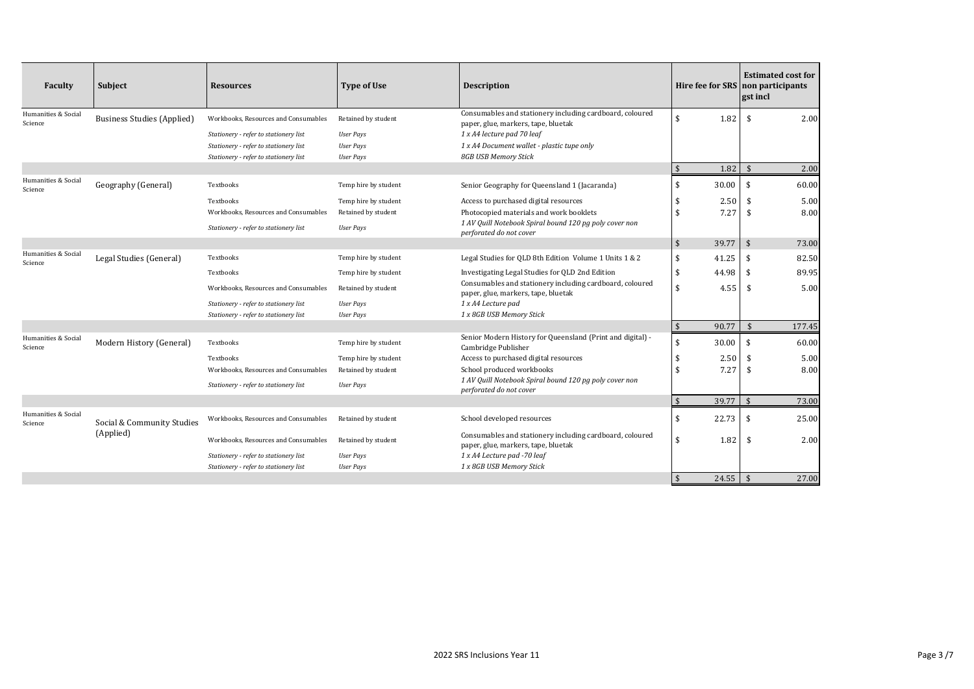| Faculty                        | <b>Subject</b>                    | <b>Resources</b>                      | <b>Type of Use</b>   | <b>Description</b>                                                                              | <b>Hire fee for SRS</b> |       | <b>Estimated cost for</b><br>non participants<br>gst incl |  |
|--------------------------------|-----------------------------------|---------------------------------------|----------------------|-------------------------------------------------------------------------------------------------|-------------------------|-------|-----------------------------------------------------------|--|
| Humanities & Social<br>Science | <b>Business Studies (Applied)</b> | Workbooks, Resources and Consumables  | Retained by student  | Consumables and stationery including cardboard, coloured<br>paper, glue, markers, tape, bluetak | $\mathbf{\hat{s}}$      | 1.82  | \$<br>2.00                                                |  |
|                                |                                   | Stationery - refer to stationery list | <b>User Pays</b>     | 1 x A4 lecture pad 70 leaf                                                                      |                         |       |                                                           |  |
|                                |                                   | Stationery - refer to stationery list | <b>User Pays</b>     | 1 x A4 Document wallet - plastic tupe only                                                      |                         |       |                                                           |  |
|                                |                                   | Stationery - refer to stationery list | <b>User Pays</b>     | 8GB USB Memory Stick                                                                            |                         |       |                                                           |  |
|                                |                                   |                                       |                      |                                                                                                 | $\frac{1}{2}$           | 1.82  | $\mathbf{\hat{S}}$<br>2.00                                |  |
| Humanities & Social<br>Science | Geography (General)               | Textbooks                             | Temp hire by student | Senior Geography for Queensland 1 (Jacaranda)                                                   | \$                      | 30.00 | \$<br>60.00                                               |  |
|                                |                                   | Textbooks                             | Temp hire by student | Access to purchased digital resources                                                           | \$                      | 2.50  | 5.00<br>\$                                                |  |
|                                |                                   | Workbooks, Resources and Consumables  | Retained by student  | Photocopied materials and work booklets                                                         | $\mathbf{\hat{S}}$      | 7.27  | \$<br>8.00                                                |  |
|                                |                                   | Stationery - refer to stationery list | <b>User Pays</b>     | 1 AV Quill Notebook Spiral bound 120 pg poly cover non<br>perforated do not cover               |                         |       |                                                           |  |
|                                |                                   |                                       |                      |                                                                                                 | \$                      | 39.77 | $\boldsymbol{\mathsf{s}}$<br>73.00                        |  |
| Humanities & Social<br>Science | Legal Studies (General)           | Textbooks                             | Temp hire by student | Legal Studies for QLD 8th Edition Volume 1 Units 1 & 2                                          | \$                      | 41.25 | \$<br>82.50                                               |  |
|                                |                                   | Textbooks                             | Temp hire by student | Investigating Legal Studies for QLD 2nd Edition                                                 | \$                      | 44.98 | \$<br>89.95                                               |  |
|                                |                                   | Workbooks, Resources and Consumables  | Retained by student  | Consumables and stationery including cardboard, coloured<br>paper, glue, markers, tape, bluetak | $\mathbf{\hat{S}}$      | 4.55  | \$<br>5.00                                                |  |
|                                |                                   | Stationery - refer to stationery list | <b>User Pays</b>     | 1 x A4 Lecture pad                                                                              |                         |       |                                                           |  |
|                                |                                   | Stationery - refer to stationery list | <b>User Pays</b>     | 1 x 8GB USB Memory Stick                                                                        |                         |       |                                                           |  |
|                                |                                   |                                       |                      |                                                                                                 | $\frac{1}{2}$           | 90.77 | $\mathbf{\hat{S}}$<br>177.45                              |  |
| Humanities & Social<br>Science | Modern History (General)          | Textbooks                             | Temp hire by student | Senior Modern History for Queensland (Print and digital) -<br>Cambridge Publisher               | \$                      | 30.00 | \$<br>60.00                                               |  |
|                                |                                   | Textbooks                             | Temp hire by student | Access to purchased digital resources                                                           | \$                      | 2.50  | \$<br>5.00                                                |  |
|                                |                                   | Workbooks, Resources and Consumables  | Retained by student  | School produced workbooks                                                                       | $\mathbf{\hat{S}}$      | 7.27  | \$<br>8.00                                                |  |
|                                |                                   | Stationery - refer to stationery list | <b>User Pays</b>     | 1 AV Quill Notebook Spiral bound 120 pg poly cover non<br>perforated do not cover               |                         |       |                                                           |  |
|                                |                                   |                                       |                      |                                                                                                 | \$                      | 39.77 | \$<br>73.00                                               |  |
| Humanities & Social<br>Science | Social & Community Studies        | Workbooks, Resources and Consumables  | Retained by student  | School developed resources                                                                      | \$                      | 22.73 | \$<br>25.00                                               |  |
|                                | (Applied)                         | Workbooks, Resources and Consumables  | Retained by student  | Consumables and stationery including cardboard, coloured<br>paper, glue, markers, tape, bluetak | $\mathbf{\hat{s}}$      | 1.82  | \$<br>2.00                                                |  |
|                                |                                   | Stationery - refer to stationery list | <b>User Pays</b>     | 1 x A4 Lecture pad -70 leaf                                                                     |                         |       |                                                           |  |
|                                |                                   | Stationery - refer to stationery list | <b>User Pays</b>     | 1 x 8GB USB Memory Stick                                                                        |                         |       |                                                           |  |
|                                |                                   |                                       |                      |                                                                                                 | $\mathbf{\hat{s}}$      | 24.55 | $\mathbf{\hat{s}}$<br>27.00                               |  |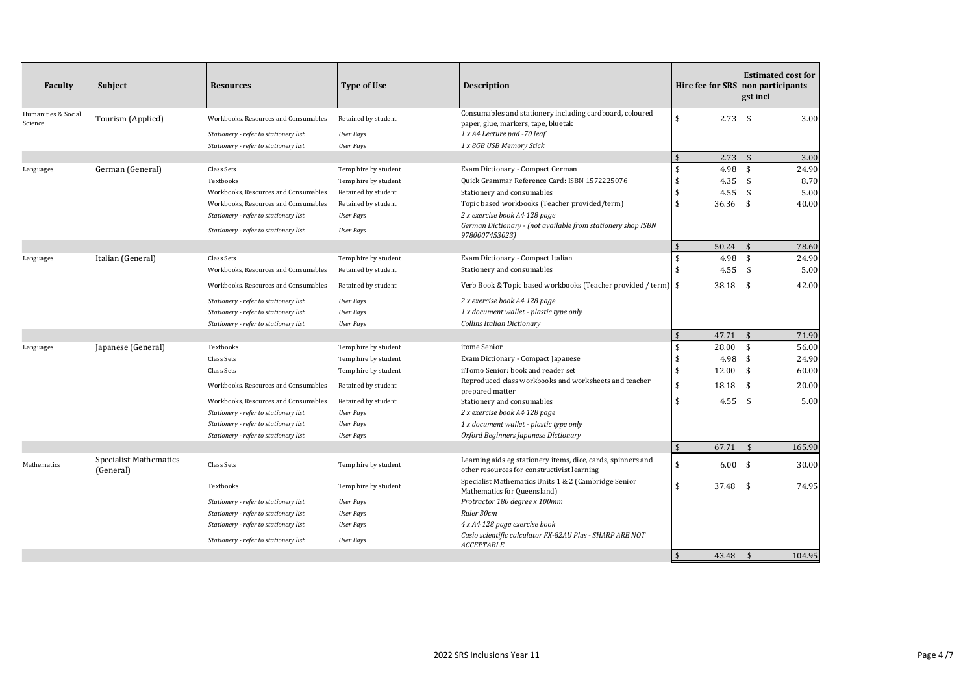| Faculty                        | Subject                                    | <b>Resources</b>                      | <b>Type of Use</b>   | <b>Description</b>                                                                                          |                        | <b>Estimated cost for</b><br>Hire fee for SRS non participants<br>gst incl |
|--------------------------------|--------------------------------------------|---------------------------------------|----------------------|-------------------------------------------------------------------------------------------------------------|------------------------|----------------------------------------------------------------------------|
| Humanities & Social<br>Science | Tourism (Applied)                          | Workbooks, Resources and Consumables  | Retained by student  | Consumables and stationery including cardboard, coloured                                                    | \$<br>2.73             | \$<br>3.00                                                                 |
|                                |                                            | Stationery - refer to stationery list | <b>User Pays</b>     | paper, glue, markers, tape, bluetak<br>1 x A4 Lecture pad -70 leaf                                          |                        |                                                                            |
|                                |                                            | Stationery - refer to stationery list | <b>User Pays</b>     | 1 x 8GB USB Memory Stick                                                                                    |                        |                                                                            |
|                                |                                            |                                       |                      |                                                                                                             | $\mathfrak{s}$<br>2.73 | $\mathbf{\hat{A}}$<br>3.00                                                 |
| Languages                      | German (General)                           | Class Sets                            | Temp hire by student | Exam Dictionary - Compact German                                                                            | \$<br>4.98             | \$<br>24.90                                                                |
|                                |                                            | Textbooks                             | Temp hire by student | Quick Grammar Reference Card: ISBN 1572225076                                                               | \$<br>4.35             | 8.70<br>\$                                                                 |
|                                |                                            | Workbooks, Resources and Consumables  | Retained by student  | Stationery and consumables                                                                                  | \$<br>4.55             | \$<br>5.00                                                                 |
|                                |                                            | Workbooks, Resources and Consumables  | Retained by student  | Topic based workbooks (Teacher provided/term)                                                               | \$<br>36.36            | \$<br>40.00                                                                |
|                                |                                            | Stationery - refer to stationery list | <b>User Pays</b>     | 2 x exercise book A4 128 page                                                                               |                        |                                                                            |
|                                |                                            | Stationery - refer to stationery list | <b>User Pays</b>     | German Dictionary - (not available from stationery shop ISBN<br>9780007453023)                              |                        |                                                                            |
|                                |                                            |                                       |                      |                                                                                                             | $\sqrt{5}$<br>50.24    | $\mathbf{\hat{s}}$<br>78.60                                                |
| Languages                      | Italian (General)                          | Class Sets                            | Temp hire by student | Exam Dictionary - Compact Italian                                                                           | \$<br>4.98             | \$<br>24.90                                                                |
|                                |                                            | Workbooks, Resources and Consumables  | Retained by student  | Stationery and consumables                                                                                  | \$<br>4.55             | \$<br>5.00                                                                 |
|                                |                                            | Workbooks, Resources and Consumables  | Retained by student  | Verb Book & Topic based workbooks (Teacher provided / term)   \$                                            | 38.18                  | 42.00<br>\$                                                                |
|                                |                                            | Stationery - refer to stationery list | <b>User Pays</b>     | 2 x exercise book A4 128 page                                                                               |                        |                                                                            |
|                                |                                            | Stationery - refer to stationery list | <b>User Pays</b>     | 1 x document wallet - plastic type only                                                                     |                        |                                                                            |
|                                |                                            | Stationery - refer to stationery list | <b>User Pays</b>     | Collins Italian Dictionary                                                                                  |                        |                                                                            |
|                                |                                            |                                       |                      |                                                                                                             | 47.71<br>\$            | \$<br>71.90                                                                |
| Languages                      | Japanese (General)                         | Textbooks                             | Temp hire by student | itome Senior                                                                                                | \$<br>28.00            | \$<br>56.00                                                                |
|                                |                                            | Class Sets                            | Temp hire by student | Exam Dictionary - Compact Japanese                                                                          | \$<br>4.98             | \$<br>24.90                                                                |
|                                |                                            | Class Sets                            | Temp hire by student | iiTomo Senior: book and reader set                                                                          | \$<br>12.00            | 60.00<br>\$                                                                |
|                                |                                            | Workbooks, Resources and Consumables  | Retained by student  | Reproduced class workbooks and worksheets and teacher<br>prepared matter                                    | \$<br>18.18            | 20.00<br>\$                                                                |
|                                |                                            | Workbooks, Resources and Consumables  | Retained by student  | Stationery and consumables                                                                                  | \$<br>4.55             | \$<br>5.00                                                                 |
|                                |                                            | Stationery - refer to stationery list | <b>User Pays</b>     | 2 x exercise book A4 128 page                                                                               |                        |                                                                            |
|                                |                                            | Stationery - refer to stationery list | <b>User Pays</b>     | 1 x document wallet - plastic type only                                                                     |                        |                                                                            |
|                                |                                            | Stationery - refer to stationery list | <b>User Pays</b>     | Oxford Beginners Japanese Dictionary                                                                        |                        |                                                                            |
|                                |                                            |                                       |                      |                                                                                                             | $\sqrt{5}$<br>67.71    | $\mathbf{\hat{s}}$<br>165.90                                               |
| Mathematics                    | <b>Specialist Mathematics</b><br>(General) | Class Sets                            | Temp hire by student | Learning aids eg stationery items, dice, cards, spinners and<br>other resources for constructivist learning | \$<br>6.00             | \$<br>30.00                                                                |
|                                |                                            | Textbooks                             | Temp hire by student | Specialist Mathematics Units 1 & 2 (Cambridge Senior<br>Mathematics for Queensland)                         | \$<br>37.48            | 74.95<br>\$                                                                |
|                                |                                            | Stationery - refer to stationery list | <b>User Pays</b>     | Protractor 180 degree x 100mm                                                                               |                        |                                                                            |
|                                |                                            | Stationery - refer to stationery list | <b>User Pays</b>     | Ruler 30cm                                                                                                  |                        |                                                                            |
|                                |                                            | Stationery - refer to stationery list | <b>User Pays</b>     | 4 x A4 128 page exercise book                                                                               |                        |                                                                            |
|                                |                                            | Stationery - refer to stationery list | <b>User Pays</b>     | Casio scientific calculator FX-82AU Plus - SHARP ARE NOT<br><b>ACCEPTABLE</b>                               |                        |                                                                            |
|                                |                                            |                                       |                      |                                                                                                             | $\sqrt{5}$<br>43.48    | 104.95<br>$\sqrt{5}$                                                       |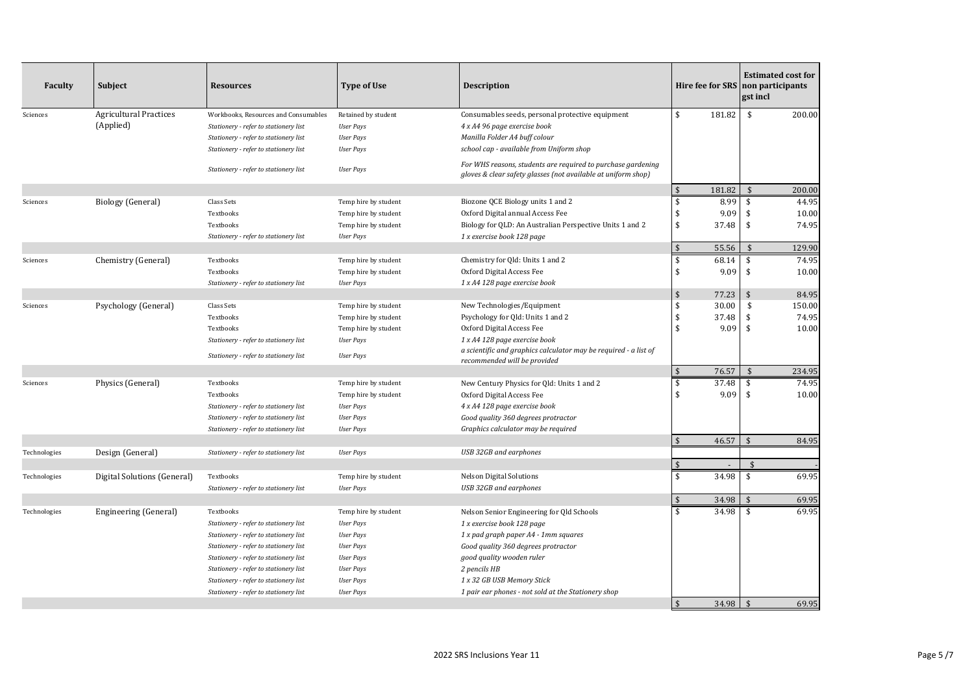| Faculty      | Subject                       | <b>Resources</b>                      | <b>Type of Use</b>   | <b>Description</b>                                                                                                            | Hire fee for SRS non participants |        | <b>Estimated cost for</b><br>gst incl |        |
|--------------|-------------------------------|---------------------------------------|----------------------|-------------------------------------------------------------------------------------------------------------------------------|-----------------------------------|--------|---------------------------------------|--------|
| Sciences     | <b>Agricultural Practices</b> | Workbooks, Resources and Consumables  | Retained by student  | Consumables seeds, personal protective equipment                                                                              | \$                                | 181.82 | \$                                    | 200.00 |
|              | (Applied)                     | Stationery - refer to stationery list | <b>User Pays</b>     | 4 x A4 96 page exercise book                                                                                                  |                                   |        |                                       |        |
|              |                               | Stationery - refer to stationery list | <b>User Pays</b>     | Manilla Folder A4 buff colour                                                                                                 |                                   |        |                                       |        |
|              |                               | Stationery - refer to stationery list | <b>User Pays</b>     | school cap - available from Uniform shop                                                                                      |                                   |        |                                       |        |
|              |                               | Stationery - refer to stationery list | <b>User Pays</b>     | For WHS reasons, students are required to purchase gardening<br>gloves & clear safety glasses (not available at uniform shop) |                                   |        |                                       |        |
|              |                               |                                       |                      |                                                                                                                               | $\sqrt{5}$                        | 181.82 | $\mathbf{\hat{s}}$                    | 200.00 |
| Sciences     | Biology (General)             | Class Sets                            | Temp hire by student | Biozone QCE Biology units 1 and 2                                                                                             | \$                                | 8.99   | \$                                    | 44.95  |
|              |                               | Textbooks                             | Temp hire by student | Oxford Digital annual Access Fee                                                                                              | \$                                | 9.09   | \$                                    | 10.00  |
|              |                               | Textbooks                             | Temp hire by student | Biology for QLD: An Australian Perspective Units 1 and 2                                                                      | \$                                | 37.48  | \$                                    | 74.95  |
|              |                               | Stationery - refer to stationery list | <b>User Pays</b>     | 1 x exercise book 128 page                                                                                                    |                                   |        |                                       |        |
|              |                               |                                       |                      |                                                                                                                               | $\mathbf{\hat{s}}$                | 55.56  | $\mathbf{\hat{S}}$                    | 129.90 |
| Sciences     | Chemistry (General)           | Textbooks                             | Temp hire by student | Chemistry for Qld: Units 1 and 2                                                                                              | \$                                | 68.14  | \$                                    | 74.95  |
|              |                               | Textbooks                             | Temp hire by student | Oxford Digital Access Fee                                                                                                     | \$                                | 9.09   | \$                                    | 10.00  |
|              |                               | Stationery - refer to stationery list | <b>User Pays</b>     | 1 x A4 128 page exercise book                                                                                                 |                                   |        |                                       |        |
|              |                               |                                       |                      |                                                                                                                               | \$                                | 77.23  | \$                                    | 84.95  |
| Sciences     | Psychology (General)          | Class Sets                            | Temp hire by student | New Technologies/Equipment                                                                                                    | \$                                | 30.00  | \$                                    | 150.00 |
|              |                               | Textbooks                             | Temp hire by student | Psychology for Qld: Units 1 and 2                                                                                             | \$                                | 37.48  | \$                                    | 74.95  |
|              |                               | Textbooks                             | Temp hire by student | Oxford Digital Access Fee                                                                                                     | \$                                | 9.09   | \$                                    | 10.00  |
|              |                               | Stationery - refer to stationery list | <b>User Pays</b>     | 1 x A4 128 page exercise book                                                                                                 |                                   |        |                                       |        |
|              |                               | Stationery - refer to stationery list | <b>User Pays</b>     | a scientific and graphics calculator may be required - a list of<br>recommended will be provided                              |                                   |        |                                       |        |
|              |                               |                                       |                      |                                                                                                                               | $\sqrt{5}$                        | 76.57  | $\mathbf{\hat{S}}$                    | 234.95 |
| Sciences     | Physics (General)             | Textbooks                             | Temp hire by student | New Century Physics for Qld: Units 1 and 2                                                                                    | \$                                | 37.48  | \$                                    | 74.95  |
|              |                               | Textbooks                             | Temp hire by student | Oxford Digital Access Fee                                                                                                     | \$                                | 9.09   | \$                                    | 10.00  |
|              |                               | Stationery - refer to stationery list | <b>User Pays</b>     | 4 x A4 128 page exercise book                                                                                                 |                                   |        |                                       |        |
|              |                               | Stationery - refer to stationery list | <b>User Pays</b>     | Good quality 360 degrees protractor                                                                                           |                                   |        |                                       |        |
|              |                               | Stationery - refer to stationery list | <b>User Pays</b>     | Graphics calculator may be required                                                                                           |                                   |        |                                       |        |
|              |                               |                                       |                      |                                                                                                                               | $\sqrt{3}$                        | 46.57  | $\mathbf{\hat{S}}$                    | 84.95  |
| Technologies | Design (General)              | Stationery - refer to stationery list | <b>User Pays</b>     | USB 32GB and earphones                                                                                                        |                                   |        |                                       |        |
|              |                               |                                       |                      |                                                                                                                               | $\mathbf{\hat{S}}$                |        | $\sqrt{5}$                            |        |
| Technologies | Digital Solutions (General)   | Textbooks                             | Temp hire by student | <b>Nelson Digital Solutions</b>                                                                                               | \$                                | 34.98  | \$                                    | 69.95  |
|              |                               | Stationery - refer to stationery list | <b>User Pays</b>     | USB 32GB and earphones                                                                                                        |                                   |        |                                       |        |
|              |                               |                                       |                      |                                                                                                                               | $\mathbf{\hat{S}}$                | 34.98  | $\hat{\mathbf{S}}$                    | 69.95  |
| Technologies | Engineering (General)         | Textbooks                             | Temp hire by student | Nelson Senior Engineering for Qld Schools                                                                                     | \$                                | 34.98  | \$                                    | 69.95  |
|              |                               | Stationery - refer to stationery list | <b>User Pays</b>     | 1 x exercise book 128 page                                                                                                    |                                   |        |                                       |        |
|              |                               | Stationery - refer to stationery list | <b>User Pays</b>     | 1 x pad graph paper A4 - 1mm squares                                                                                          |                                   |        |                                       |        |
|              |                               | Stationery - refer to stationery list | <b>User Pays</b>     | Good quality 360 degrees protractor                                                                                           |                                   |        |                                       |        |
|              |                               | Stationery - refer to stationery list | <b>User Pays</b>     | good quality wooden ruler                                                                                                     |                                   |        |                                       |        |
|              |                               | Stationery - refer to stationery list | <b>User Pays</b>     | 2 pencils HB                                                                                                                  |                                   |        |                                       |        |
|              |                               | Stationery - refer to stationery list | <b>User Pays</b>     | 1 x 32 GB USB Memory Stick                                                                                                    |                                   |        |                                       |        |
|              |                               | Stationery - refer to stationery list | <b>User Pays</b>     | 1 pair ear phones - not sold at the Stationery shop                                                                           |                                   |        |                                       |        |
|              |                               |                                       |                      |                                                                                                                               | $\sqrt{2}$                        | 34.98  | $\hat{\mathbf{S}}$                    | 69.95  |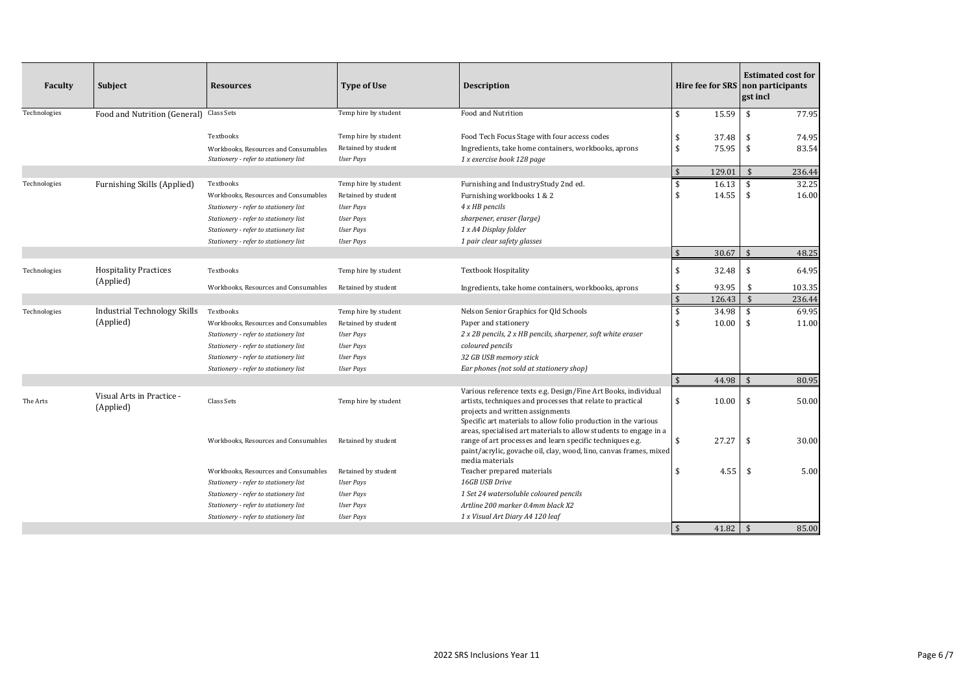| <b>Faculty</b> | Subject                                | <b>Resources</b>                                                                                                                                                             | <b>Type of Use</b>                                                                                      | <b>Description</b>                                                                                                                                                                                                                  |                          |                 | <b>Estimated cost for</b><br>Hire fee for SRS non participants<br>gst incl |                  |
|----------------|----------------------------------------|------------------------------------------------------------------------------------------------------------------------------------------------------------------------------|---------------------------------------------------------------------------------------------------------|-------------------------------------------------------------------------------------------------------------------------------------------------------------------------------------------------------------------------------------|--------------------------|-----------------|----------------------------------------------------------------------------|------------------|
| Technologies   | Food and Nutrition (General)           | Class Sets                                                                                                                                                                   | Temp hire by student                                                                                    | Food and Nutrition                                                                                                                                                                                                                  | \$                       | 15.59           | \$                                                                         | 77.95            |
|                |                                        | Textbooks<br>Workbooks, Resources and Consumables                                                                                                                            | Temp hire by student<br>Retained by student                                                             | Food Tech Focus Stage with four access codes<br>Ingredients, take home containers, workbooks, aprons                                                                                                                                | \$<br>\$                 | 37.48<br>75.95  | \$<br>\$                                                                   | 74.95<br>83.54   |
|                |                                        | Stationery - refer to stationery list                                                                                                                                        | <b>User Pays</b>                                                                                        | 1 x exercise book 128 page                                                                                                                                                                                                          |                          |                 |                                                                            |                  |
|                |                                        |                                                                                                                                                                              |                                                                                                         |                                                                                                                                                                                                                                     | $\mathbf{\hat{S}}$       | 129.01          | $\mathbf{\hat{s}}$                                                         | 236.44           |
| Technologies   | Furnishing Skills (Applied)            | Textbooks<br>Workbooks, Resources and Consumables<br>Stationery - refer to stationery list<br>Stationery - refer to stationery list<br>Stationery - refer to stationery list | Temp hire by student<br>Retained by student<br><b>User Pays</b><br><b>User Pays</b><br><b>User Pays</b> | Furnishing and IndustryStudy 2nd ed.<br>Furnishing workbooks 1 & 2<br>4 x HB pencils<br>sharpener, eraser (large)<br>1 x A4 Display folder                                                                                          | $\mathbf{\hat{s}}$<br>\$ | 16.13<br>14.55  | \$<br>\$                                                                   | 32.25<br>16.00   |
|                |                                        | Stationery - refer to stationery list                                                                                                                                        | <b>User Pays</b>                                                                                        | 1 pair clear safety glasses                                                                                                                                                                                                         |                          |                 |                                                                            |                  |
|                |                                        |                                                                                                                                                                              |                                                                                                         |                                                                                                                                                                                                                                     | $\mathbf{\hat{S}}$       | 30.67           | $\hat{\mathbf{S}}$                                                         | 48.25            |
| Technologies   | <b>Hospitality Practices</b>           | Textbooks                                                                                                                                                                    | Temp hire by student                                                                                    | <b>Textbook Hospitality</b>                                                                                                                                                                                                         | \$                       | 32.48           | \$                                                                         | 64.95            |
|                | (Applied)                              | Workbooks, Resources and Consumables                                                                                                                                         | Retained by student                                                                                     | Ingredients, take home containers, workbooks, aprons                                                                                                                                                                                | \$<br>$\sqrt{2}$         | 93.95<br>126.43 | \$<br>$\mathbf{\hat{s}}$                                                   | 103.35<br>236.44 |
| Technologies   | Industrial Technology Skills           | Textbooks                                                                                                                                                                    | Temp hire by student                                                                                    | Nelson Senior Graphics for Qld Schools                                                                                                                                                                                              | \$                       | 34.98           | \$                                                                         | 69.95            |
|                | (Applied)                              | Workbooks, Resources and Consumables                                                                                                                                         | Retained by student                                                                                     | Paper and stationery                                                                                                                                                                                                                | $\mathbf{\hat{S}}$       | 10.00           | \$                                                                         | 11.00            |
|                |                                        | Stationery - refer to stationery list                                                                                                                                        | <b>User Pays</b>                                                                                        | 2 x 2B pencils, 2 x HB pencils, sharpener, soft white eraser                                                                                                                                                                        |                          |                 |                                                                            |                  |
|                |                                        | Stationery - refer to stationery list                                                                                                                                        | <b>User Pays</b>                                                                                        | coloured pencils                                                                                                                                                                                                                    |                          |                 |                                                                            |                  |
|                |                                        | Stationery - refer to stationery list                                                                                                                                        | <b>User Pays</b>                                                                                        | 32 GB USB memory stick                                                                                                                                                                                                              |                          |                 |                                                                            |                  |
|                |                                        | Stationery - refer to stationery list                                                                                                                                        | <b>User Pays</b>                                                                                        | Ear phones (not sold at stationery shop)                                                                                                                                                                                            |                          |                 |                                                                            |                  |
|                |                                        |                                                                                                                                                                              |                                                                                                         |                                                                                                                                                                                                                                     | $\mathfrak{S}$           | 44.98           | \$                                                                         | 80.95            |
| The Arts       | Visual Arts in Practice -<br>(Applied) | Class Sets                                                                                                                                                                   | Temp hire by student                                                                                    | Various reference texts e.g. Design/Fine Art Books, individual<br>artists, techniques and processes that relate to practical<br>projects and written assignments<br>Specific art materials to allow folio production in the various | \$                       | 10.00           | \$                                                                         | 50.00            |
|                |                                        | Workbooks, Resources and Consumables                                                                                                                                         | Retained by student                                                                                     | areas, specialised art materials to allow students to engage in a<br>range of art processes and learn specific techniques e.g.<br>paint/acrylic, govache oil, clay, wood, lino, canvas frames, mixed<br>media materials             | \$                       | 27.27           | \$                                                                         | 30.00            |
|                |                                        | Workbooks, Resources and Consumables                                                                                                                                         | Retained by student                                                                                     | Teacher prepared materials                                                                                                                                                                                                          | \$                       | 4.55            | \$                                                                         | 5.00             |
|                |                                        | Stationery - refer to stationery list                                                                                                                                        | <b>User Pays</b>                                                                                        | 16GB USB Drive                                                                                                                                                                                                                      |                          |                 |                                                                            |                  |
|                |                                        | Stationery - refer to stationery list                                                                                                                                        | <b>User Pays</b>                                                                                        | 1 Set 24 watersoluble coloured pencils                                                                                                                                                                                              |                          |                 |                                                                            |                  |
|                |                                        | Stationery - refer to stationery list                                                                                                                                        | <b>User Pays</b>                                                                                        | Artline 200 marker 0.4mm black X2                                                                                                                                                                                                   |                          |                 |                                                                            |                  |
|                |                                        | Stationery - refer to stationery list                                                                                                                                        | <b>User Pays</b>                                                                                        | 1 x Visual Art Diary A4 120 leaf                                                                                                                                                                                                    |                          |                 |                                                                            |                  |
|                |                                        |                                                                                                                                                                              |                                                                                                         |                                                                                                                                                                                                                                     | $\mathbf{\hat{s}}$       | 41.82           | $\hat{\mathbf{r}}$                                                         | 85.00            |